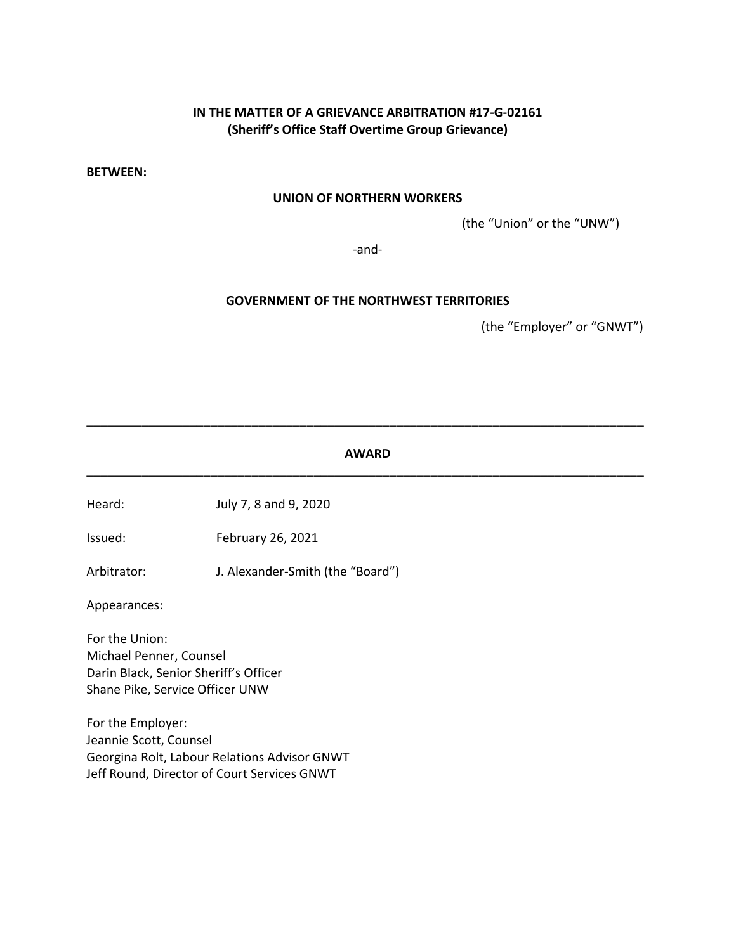# **IN THE MATTER OF A GRIEVANCE ARBITRATION #17-G-02161 (Sheriff's Office Staff Overtime Group Grievance)**

**BETWEEN:**

### **UNION OF NORTHERN WORKERS**

(the "Union" or the "UNW")

-and-

#### **GOVERNMENT OF THE NORTHWEST TERRITORIES**

(the "Employer" or "GNWT")

### **AWARD** \_\_\_\_\_\_\_\_\_\_\_\_\_\_\_\_\_\_\_\_\_\_\_\_\_\_\_\_\_\_\_\_\_\_\_\_\_\_\_\_\_\_\_\_\_\_\_\_\_\_\_\_\_\_\_\_\_\_\_\_\_\_\_\_\_\_\_\_\_\_\_\_\_\_\_\_\_\_\_\_\_

\_\_\_\_\_\_\_\_\_\_\_\_\_\_\_\_\_\_\_\_\_\_\_\_\_\_\_\_\_\_\_\_\_\_\_\_\_\_\_\_\_\_\_\_\_\_\_\_\_\_\_\_\_\_\_\_\_\_\_\_\_\_\_\_\_\_\_\_\_\_\_\_\_\_\_\_\_\_\_\_\_

Heard: July 7, 8 and 9, 2020

Issued: February 26, 2021

Arbitrator: J. Alexander-Smith (the "Board")

Appearances:

For the Union: Michael Penner, Counsel Darin Black, Senior Sheriff's Officer Shane Pike, Service Officer UNW

For the Employer: Jeannie Scott, Counsel Georgina Rolt, Labour Relations Advisor GNWT Jeff Round, Director of Court Services GNWT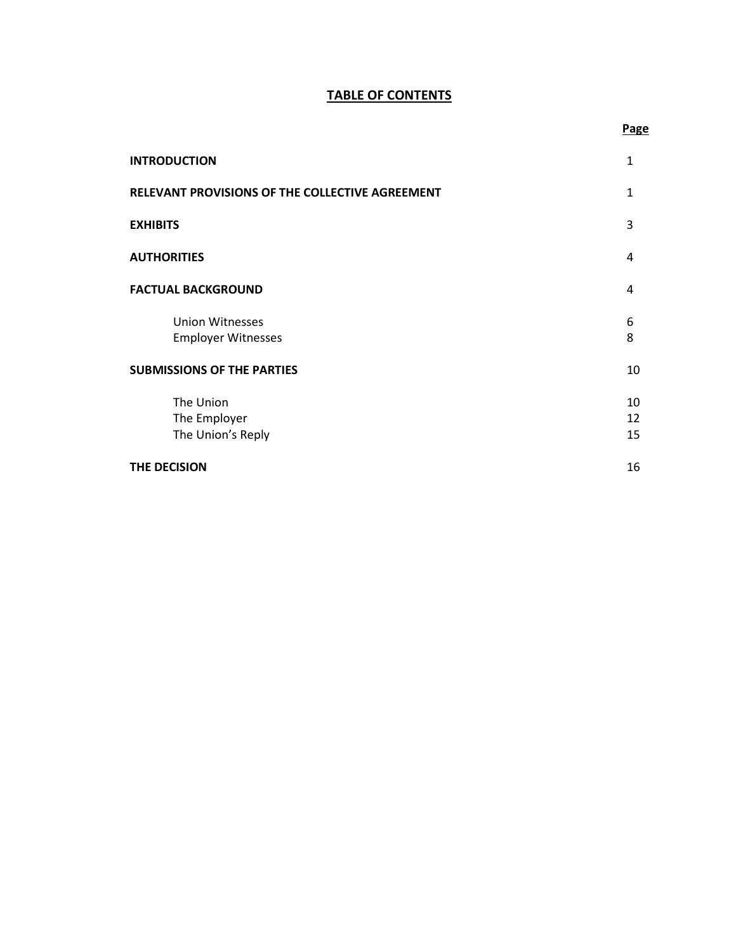# **TABLE OF CONTENTS**

| <b>INTRODUCTION</b>                                 | 1              |
|-----------------------------------------------------|----------------|
| RELEVANT PROVISIONS OF THE COLLECTIVE AGREEMENT     | 1              |
| <b>EXHIBITS</b>                                     | 3              |
| <b>AUTHORITIES</b>                                  | 4              |
| <b>FACTUAL BACKGROUND</b>                           | 4              |
| <b>Union Witnesses</b><br><b>Employer Witnesses</b> | 6<br>8         |
| <b>SUBMISSIONS OF THE PARTIES</b>                   | 10             |
| The Union<br>The Employer<br>The Union's Reply      | 10<br>12<br>15 |
| THE DECISION                                        | 16             |

## **Page**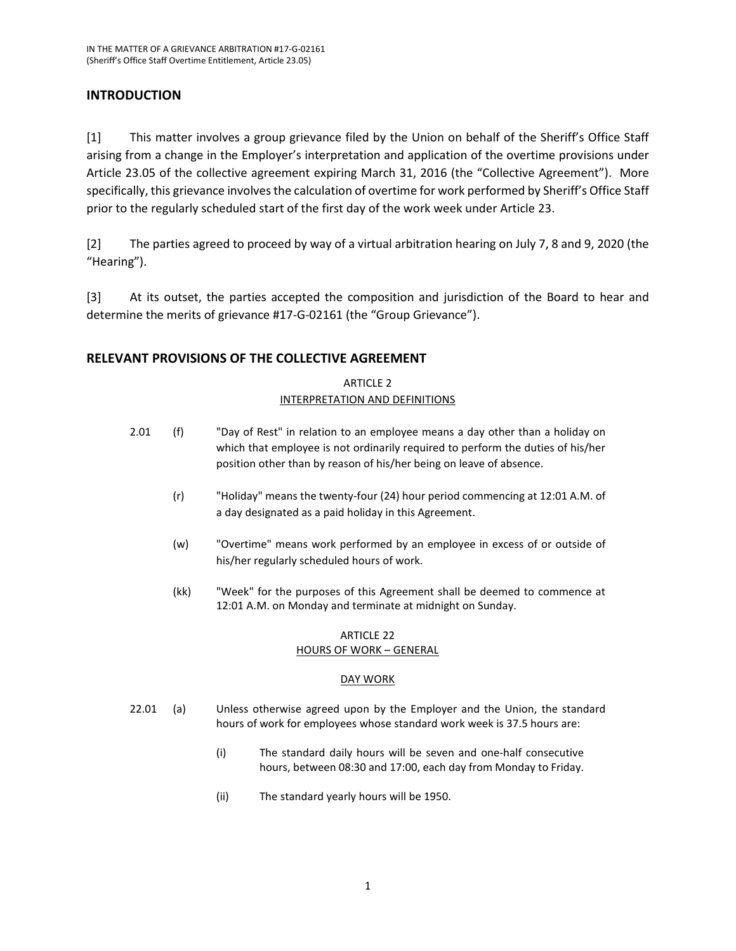## **INTRODUCTION**

[1] This matter involves a group grievance filed by the Union on behalf of the Sheriff's Office Staff arising from a change in the Employer's interpretation and application of the overtime provisions under Article 23.05 of the collective agreement expiring March 31, 2016 (the "Collective Agreement"). More specifically, this grievance involves the calculation of overtime for work performed by Sheriff's Office Staff prior to the regularly scheduled start of the first day of the work week under Article 23.

[2] The parties agreed to proceed by way of a virtual arbitration hearing on July 7, 8 and 9, 2020 (the "Hearing").

[3] At its outset, the parties accepted the composition and jurisdiction of the Board to hear and determine the merits of grievance #17-G-02161 (the "Group Grievance").

### **RELEVANT PROVISIONS OF THE COLLECTIVE AGREEMENT**

### ARTICLE 2 INTERPRETATION AND DEFINITIONS

- 2.01 (f) "Day of Rest" in relation to an employee means a day other than a holiday on which that employee is not ordinarily required to perform the duties of his/her position other than by reason of his/her being on leave of absence.
	- (r) "Holiday" means the twenty-four (24) hour period commencing at 12:01 A.M. of a day designated as a paid holiday in this Agreement.
	- (w) "Overtime" means work performed by an employee in excess of or outside of his/her regularly scheduled hours of work.
	- (kk) "Week" for the purposes of this Agreement shall be deemed to commence at 12:01 A.M. on Monday and terminate at midnight on Sunday.

### ARTICLE 22 HOURS OF WORK – GENERAL

#### DAY WORK

- 22.01 (a) Unless otherwise agreed upon by the Employer and the Union, the standard hours of work for employees whose standard work week is 37.5 hours are:
	- (i) The standard daily hours will be seven and one-half consecutive hours, between 08:30 and 17:00, each day from Monday to Friday.
	- (ii) The standard yearly hours will be 1950.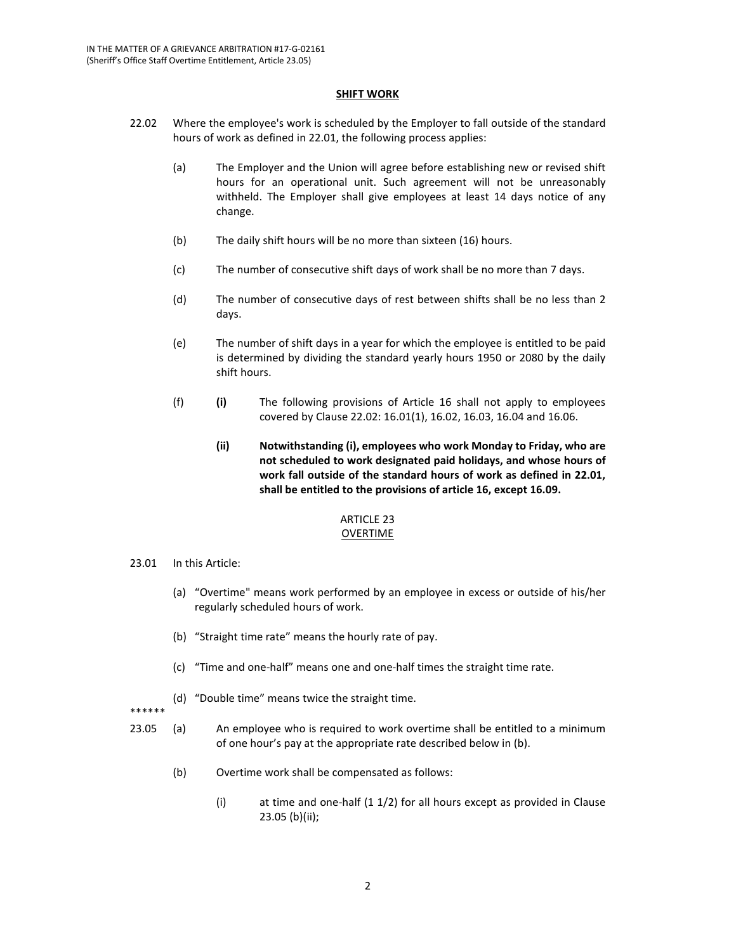#### **SHIFT WORK**

- 22.02 Where the employee's work is scheduled by the Employer to fall outside of the standard hours of work as defined in 22.01, the following process applies:
	- (a) The Employer and the Union will agree before establishing new or revised shift hours for an operational unit. Such agreement will not be unreasonably withheld. The Employer shall give employees at least 14 days notice of any change.
	- (b) The daily shift hours will be no more than sixteen (16) hours.
	- (c) The number of consecutive shift days of work shall be no more than 7 days.
	- (d) The number of consecutive days of rest between shifts shall be no less than 2 days.
	- (e) The number of shift days in a year for which the employee is entitled to be paid is determined by dividing the standard yearly hours 1950 or 2080 by the daily shift hours.
	- (f) **(i)** The following provisions of Article 16 shall not apply to employees covered by Clause 22.02: 16.01(1), 16.02, 16.03, 16.04 and 16.06.
		- **(ii) Notwithstanding (i), employees who work Monday to Friday, who are not scheduled to work designated paid holidays, and whose hours of work fall outside of the standard hours of work as defined in 22.01, shall be entitled to the provisions of article 16, except 16.09.**

#### ARTICLE 23 OVERTIME

#### 23.01 In this Article:

- (a) "Overtime" means work performed by an employee in excess or outside of his/her regularly scheduled hours of work.
- (b) "Straight time rate" means the hourly rate of pay.
- (c) "Time and one-half" means one and one-half times the straight time rate.
- (d) "Double time" means twice the straight time.

\*\*\*\*\*\*

- 23.05 (a) An employee who is required to work overtime shall be entitled to a minimum of one hour's pay at the appropriate rate described below in (b).
	- (b) Overtime work shall be compensated as follows:
		- (i) at time and one-half (1 1/2) for all hours except as provided in Clause 23.05 (b)(ii);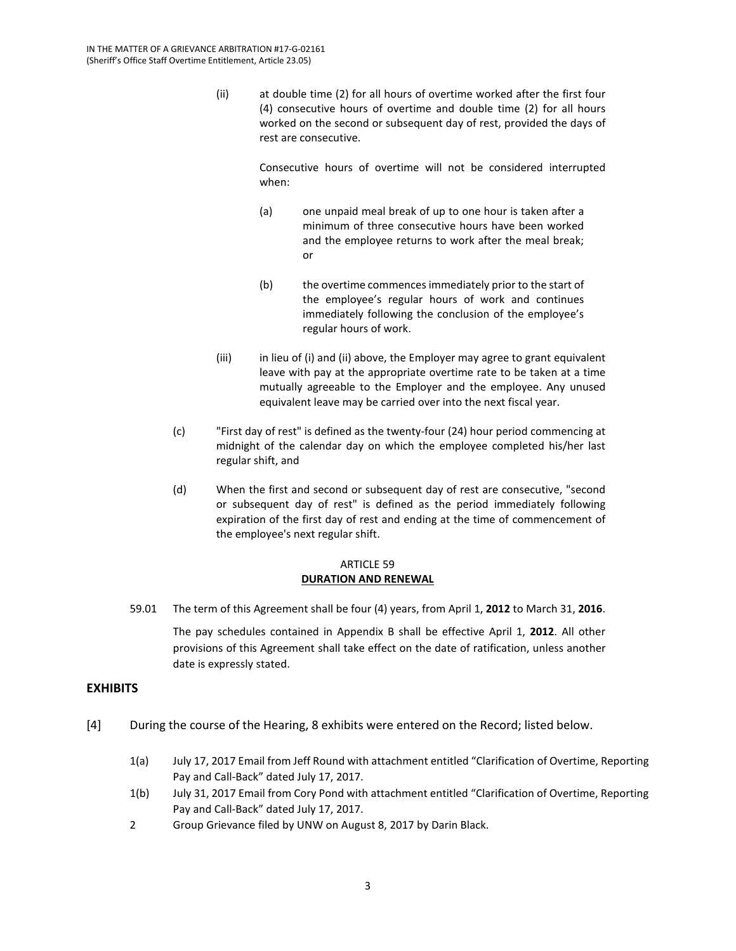(ii) at double time (2) for all hours of overtime worked after the first four (4) consecutive hours of overtime and double time (2) for all hours worked on the second or subsequent day of rest, provided the days of rest are consecutive.

> Consecutive hours of overtime will not be considered interrupted when:

- (a) one unpaid meal break of up to one hour is taken after a minimum of three consecutive hours have been worked and the employee returns to work after the meal break; or
- (b) the overtime commences immediately prior to the start of the employee's regular hours of work and continues immediately following the conclusion of the employee's regular hours of work.
- (iii) in lieu of (i) and (ii) above, the Employer may agree to grant equivalent leave with pay at the appropriate overtime rate to be taken at a time mutually agreeable to the Employer and the employee. Any unused equivalent leave may be carried over into the next fiscal year.
- (c) "First day of rest" is defined as the twenty-four (24) hour period commencing at midnight of the calendar day on which the employee completed his/her last regular shift, and
- (d) When the first and second or subsequent day of rest are consecutive, "second or subsequent day of rest" is defined as the period immediately following expiration of the first day of rest and ending at the time of commencement of the employee's next regular shift.

#### ARTICLE 59 **DURATION AND RENEWAL**

59.01 The term of this Agreement shall be four (4) years, from April 1, **2012** to March 31, **2016**.

The pay schedules contained in Appendix B shall be effective April 1, **2012**. All other provisions of this Agreement shall take effect on the date of ratification, unless another date is expressly stated.

### **EXHIBITS**

- [4] During the course of the Hearing, 8 exhibits were entered on the Record; listed below.
	- 1(a) July 17, 2017 Email from Jeff Round with attachment entitled "Clarification of Overtime, Reporting Pay and Call-Back" dated July 17, 2017.
	- 1(b) July 31, 2017 Email from Cory Pond with attachment entitled "Clarification of Overtime, Reporting Pay and Call-Back" dated July 17, 2017.
	- 2 Group Grievance filed by UNW on August 8, 2017 by Darin Black.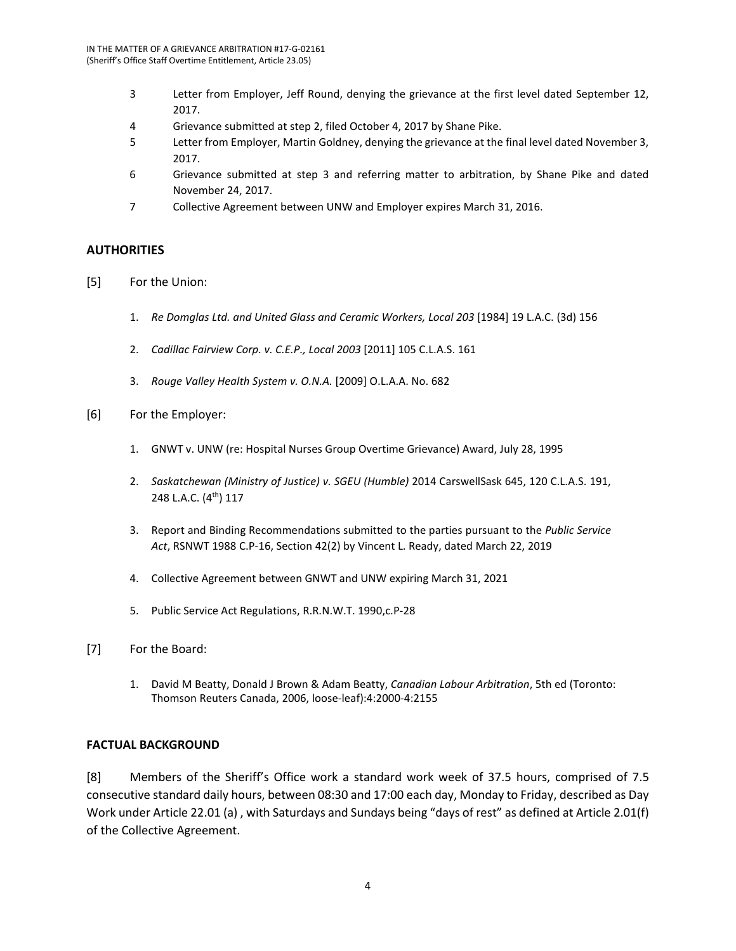- 3 Letter from Employer, Jeff Round, denying the grievance at the first level dated September 12, 2017.
- 4 Grievance submitted at step 2, filed October 4, 2017 by Shane Pike.
- 5 Letter from Employer, Martin Goldney, denying the grievance at the final level dated November 3, 2017.
- 6 Grievance submitted at step 3 and referring matter to arbitration, by Shane Pike and dated November 24, 2017.
- 7 Collective Agreement between UNW and Employer expires March 31, 2016.

### **AUTHORITIES**

- [5] For the Union:
	- 1. *Re Domglas Ltd. and United Glass and Ceramic Workers, Local 203* [1984] 19 L.A.C. (3d) 156
	- 2. *Cadillac Fairview Corp. v. C.E.P., Local 2003* [2011] 105 C.L.A.S. 161
	- 3. *Rouge Valley Health System v. O.N.A.* [2009] O.L.A.A. No. 682
- [6] For the Employer:
	- 1. GNWT v. UNW (re: Hospital Nurses Group Overtime Grievance) Award, July 28, 1995
	- 2. *Saskatchewan (Ministry of Justice) v. SGEU (Humble)* 2014 CarswellSask 645, 120 C.L.A.S. 191, 248 L.A.C. (4<sup>th</sup>) 117
	- 3. Report and Binding Recommendations submitted to the parties pursuant to the *Public Service Act*, RSNWT 1988 C.P-16, Section 42(2) by Vincent L. Ready, dated March 22, 2019
	- 4. Collective Agreement between GNWT and UNW expiring March 31, 2021
	- 5. Public Service Act Regulations, R.R.N.W.T. 1990,c.P-28
- [7] For the Board:
	- 1. David M Beatty, Donald J Brown & Adam Beatty, *Canadian Labour Arbitration*, 5th ed (Toronto: Thomson Reuters Canada, 2006, loose-leaf):4:2000-4:2155

### **FACTUAL BACKGROUND**

[8] Members of the Sheriff's Office work a standard work week of 37.5 hours, comprised of 7.5 consecutive standard daily hours, between 08:30 and 17:00 each day, Monday to Friday, described as Day Work under Article 22.01 (a) , with Saturdays and Sundays being "days of rest" as defined at Article 2.01(f) of the Collective Agreement.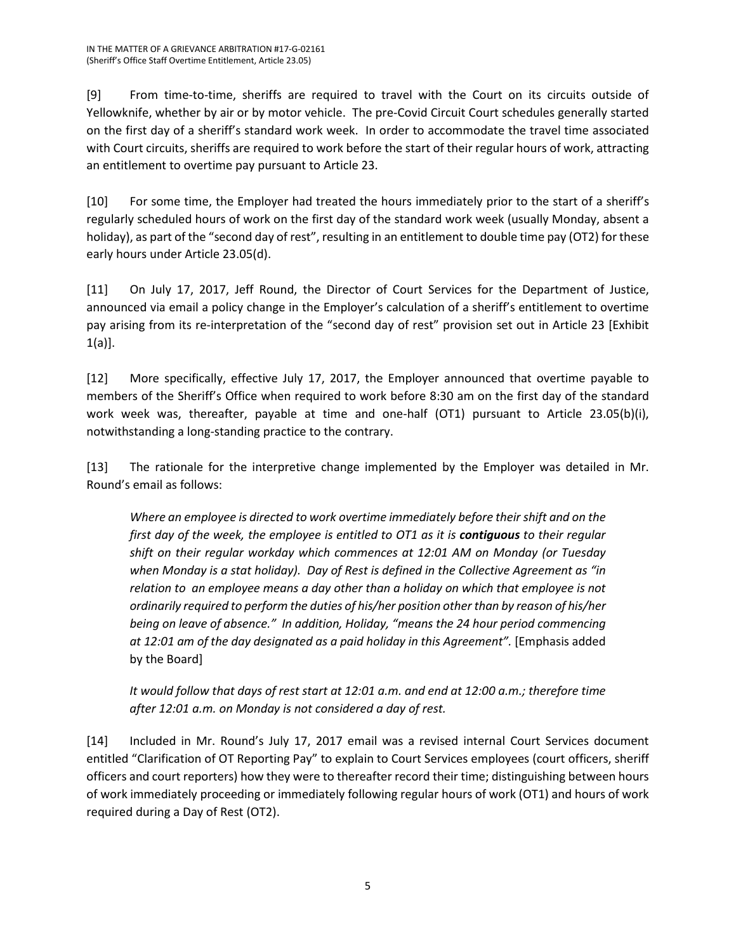[9] From time-to-time, sheriffs are required to travel with the Court on its circuits outside of Yellowknife, whether by air or by motor vehicle. The pre-Covid Circuit Court schedules generally started on the first day of a sheriff's standard work week. In order to accommodate the travel time associated with Court circuits, sheriffs are required to work before the start of their regular hours of work, attracting an entitlement to overtime pay pursuant to Article 23.

[10] For some time, the Employer had treated the hours immediately prior to the start of a sheriff's regularly scheduled hours of work on the first day of the standard work week (usually Monday, absent a holiday), as part of the "second day of rest", resulting in an entitlement to double time pay (OT2) for these early hours under Article 23.05(d).

[11] On July 17, 2017, Jeff Round, the Director of Court Services for the Department of Justice, announced via email a policy change in the Employer's calculation of a sheriff's entitlement to overtime pay arising from its re-interpretation of the "second day of rest" provision set out in Article 23 [Exhibit 1(a)].

[12] More specifically, effective July 17, 2017, the Employer announced that overtime payable to members of the Sheriff's Office when required to work before 8:30 am on the first day of the standard work week was, thereafter, payable at time and one-half (OT1) pursuant to Article 23.05(b)(i), notwithstanding a long-standing practice to the contrary.

[13] The rationale for the interpretive change implemented by the Employer was detailed in Mr. Round's email as follows:

*Where an employee is directed to work overtime immediately before their shift and on the first day of the week, the employee is entitled to OT1 as it is contiguous to their regular shift on their regular workday which commences at 12:01 AM on Monday (or Tuesday when Monday is a stat holiday). Day of Rest is defined in the Collective Agreement as "in relation to an employee means a day other than a holiday on which that employee is not ordinarily required to perform the duties of his/her position other than by reason of his/her being on leave of absence." In addition, Holiday, "means the 24 hour period commencing at 12:01 am of the day designated as a paid holiday in this Agreement".* [Emphasis added by the Board]

*It would follow that days of rest start at 12:01 a.m. and end at 12:00 a.m.; therefore time after 12:01 a.m. on Monday is not considered a day of rest.*

[14] Included in Mr. Round's July 17, 2017 email was a revised internal Court Services document entitled "Clarification of OT Reporting Pay" to explain to Court Services employees (court officers, sheriff officers and court reporters) how they were to thereafter record their time; distinguishing between hours of work immediately proceeding or immediately following regular hours of work (OT1) and hours of work required during a Day of Rest (OT2).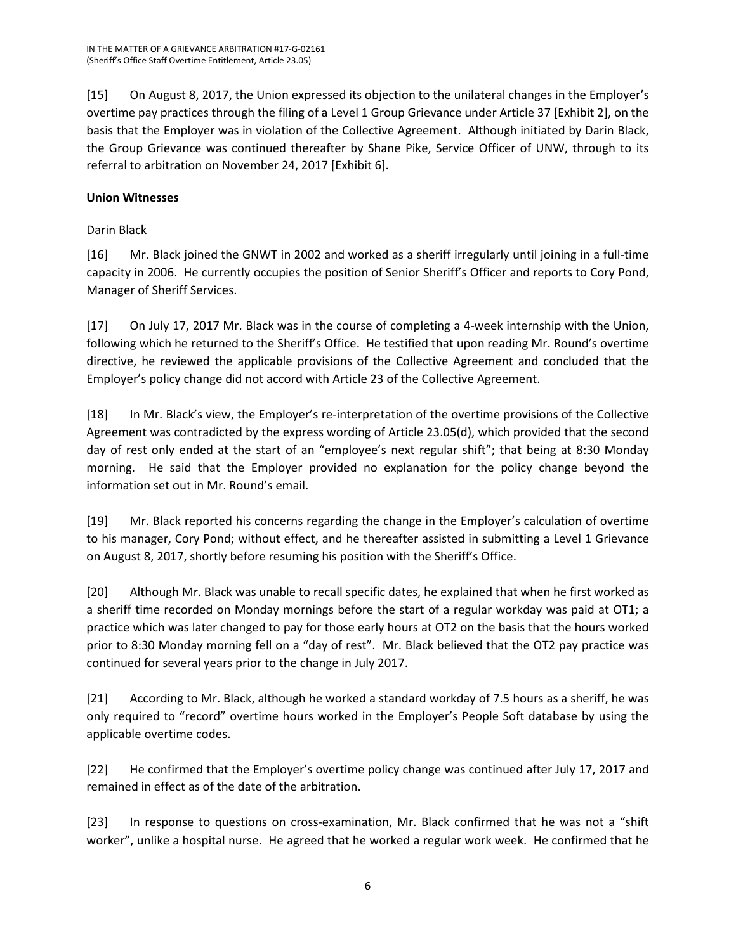[15] On August 8, 2017, the Union expressed its objection to the unilateral changes in the Employer's overtime pay practices through the filing of a Level 1 Group Grievance under Article 37 [Exhibit 2], on the basis that the Employer was in violation of the Collective Agreement. Although initiated by Darin Black, the Group Grievance was continued thereafter by Shane Pike, Service Officer of UNW, through to its referral to arbitration on November 24, 2017 [Exhibit 6].

# **Union Witnesses**

### Darin Black

[16] Mr. Black joined the GNWT in 2002 and worked as a sheriff irregularly until joining in a full-time capacity in 2006. He currently occupies the position of Senior Sheriff's Officer and reports to Cory Pond, Manager of Sheriff Services.

[17] On July 17, 2017 Mr. Black was in the course of completing a 4-week internship with the Union, following which he returned to the Sheriff's Office. He testified that upon reading Mr. Round's overtime directive, he reviewed the applicable provisions of the Collective Agreement and concluded that the Employer's policy change did not accord with Article 23 of the Collective Agreement.

[18] In Mr. Black's view, the Employer's re-interpretation of the overtime provisions of the Collective Agreement was contradicted by the express wording of Article 23.05(d), which provided that the second day of rest only ended at the start of an "employee's next regular shift"; that being at 8:30 Monday morning. He said that the Employer provided no explanation for the policy change beyond the information set out in Mr. Round's email.

[19] Mr. Black reported his concerns regarding the change in the Employer's calculation of overtime to his manager, Cory Pond; without effect, and he thereafter assisted in submitting a Level 1 Grievance on August 8, 2017, shortly before resuming his position with the Sheriff's Office.

[20] Although Mr. Black was unable to recall specific dates, he explained that when he first worked as a sheriff time recorded on Monday mornings before the start of a regular workday was paid at OT1; a practice which was later changed to pay for those early hours at OT2 on the basis that the hours worked prior to 8:30 Monday morning fell on a "day of rest". Mr. Black believed that the OT2 pay practice was continued for several years prior to the change in July 2017.

[21] According to Mr. Black, although he worked a standard workday of 7.5 hours as a sheriff, he was only required to "record" overtime hours worked in the Employer's People Soft database by using the applicable overtime codes.

[22] He confirmed that the Employer's overtime policy change was continued after July 17, 2017 and remained in effect as of the date of the arbitration.

[23] In response to questions on cross-examination, Mr. Black confirmed that he was not a "shift worker", unlike a hospital nurse. He agreed that he worked a regular work week. He confirmed that he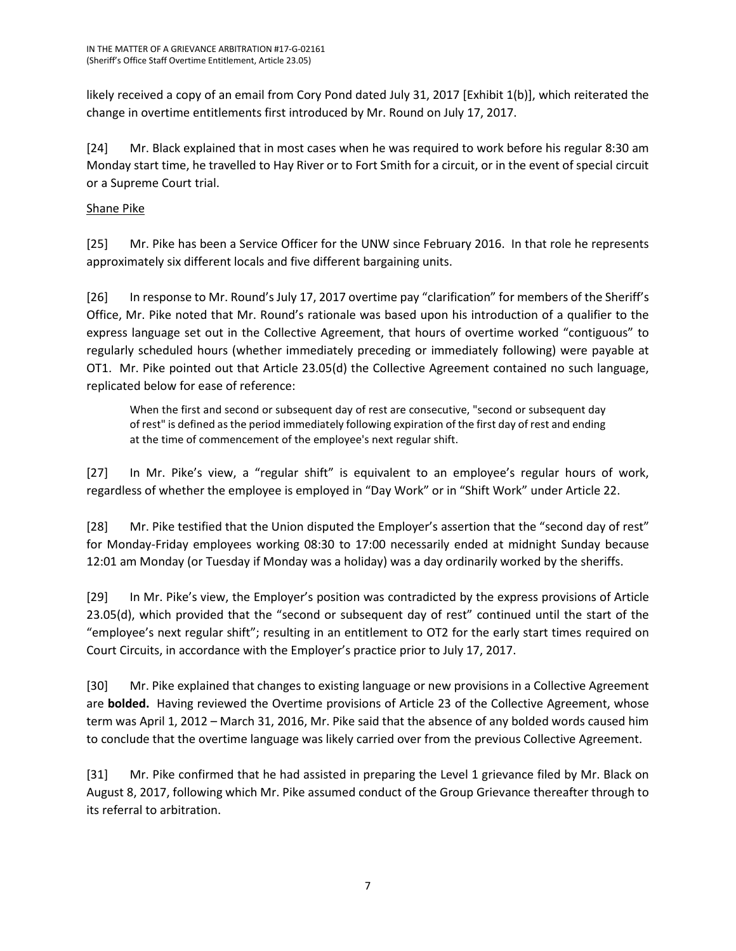likely received a copy of an email from Cory Pond dated July 31, 2017 [Exhibit 1(b)], which reiterated the change in overtime entitlements first introduced by Mr. Round on July 17, 2017.

[24] Mr. Black explained that in most cases when he was required to work before his regular 8:30 am Monday start time, he travelled to Hay River or to Fort Smith for a circuit, or in the event of special circuit or a Supreme Court trial.

# Shane Pike

[25] Mr. Pike has been a Service Officer for the UNW since February 2016. In that role he represents approximately six different locals and five different bargaining units.

[26] In response to Mr. Round's July 17, 2017 overtime pay "clarification" for members of the Sheriff's Office, Mr. Pike noted that Mr. Round's rationale was based upon his introduction of a qualifier to the express language set out in the Collective Agreement, that hours of overtime worked "contiguous" to regularly scheduled hours (whether immediately preceding or immediately following) were payable at OT1. Mr. Pike pointed out that Article 23.05(d) the Collective Agreement contained no such language, replicated below for ease of reference:

When the first and second or subsequent day of rest are consecutive, "second or subsequent day of rest" is defined as the period immediately following expiration of the first day of rest and ending at the time of commencement of the employee's next regular shift.

[27] In Mr. Pike's view, a "regular shift" is equivalent to an employee's regular hours of work, regardless of whether the employee is employed in "Day Work" or in "Shift Work" under Article 22.

[28] Mr. Pike testified that the Union disputed the Employer's assertion that the "second day of rest" for Monday-Friday employees working 08:30 to 17:00 necessarily ended at midnight Sunday because 12:01 am Monday (or Tuesday if Monday was a holiday) was a day ordinarily worked by the sheriffs.

[29] In Mr. Pike's view, the Employer's position was contradicted by the express provisions of Article 23.05(d), which provided that the "second or subsequent day of rest" continued until the start of the "employee's next regular shift"; resulting in an entitlement to OT2 for the early start times required on Court Circuits, in accordance with the Employer's practice prior to July 17, 2017.

[30] Mr. Pike explained that changes to existing language or new provisions in a Collective Agreement are **bolded.** Having reviewed the Overtime provisions of Article 23 of the Collective Agreement, whose term was April 1, 2012 – March 31, 2016, Mr. Pike said that the absence of any bolded words caused him to conclude that the overtime language was likely carried over from the previous Collective Agreement.

[31] Mr. Pike confirmed that he had assisted in preparing the Level 1 grievance filed by Mr. Black on August 8, 2017, following which Mr. Pike assumed conduct of the Group Grievance thereafter through to its referral to arbitration.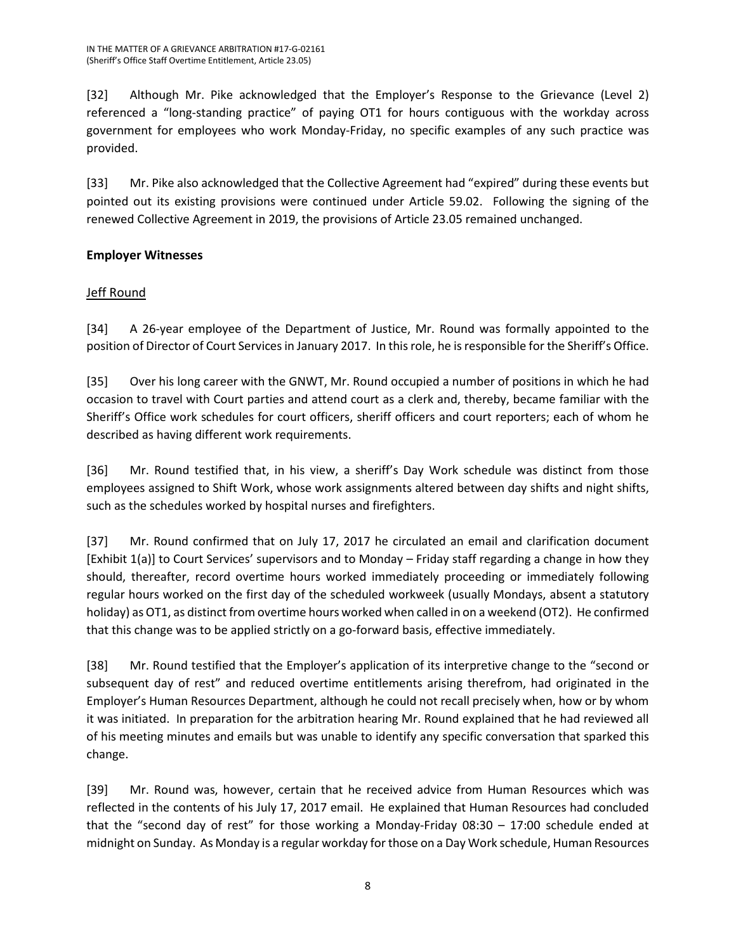[32] Although Mr. Pike acknowledged that the Employer's Response to the Grievance (Level 2) referenced a "long-standing practice" of paying OT1 for hours contiguous with the workday across government for employees who work Monday-Friday, no specific examples of any such practice was provided.

[33] Mr. Pike also acknowledged that the Collective Agreement had "expired" during these events but pointed out its existing provisions were continued under Article 59.02. Following the signing of the renewed Collective Agreement in 2019, the provisions of Article 23.05 remained unchanged.

## **Employer Witnesses**

# Jeff Round

[34] A 26-year employee of the Department of Justice, Mr. Round was formally appointed to the position of Director of Court Services in January 2017. In this role, he is responsible for the Sheriff's Office.

[35] Over his long career with the GNWT, Mr. Round occupied a number of positions in which he had occasion to travel with Court parties and attend court as a clerk and, thereby, became familiar with the Sheriff's Office work schedules for court officers, sheriff officers and court reporters; each of whom he described as having different work requirements.

[36] Mr. Round testified that, in his view, a sheriff's Day Work schedule was distinct from those employees assigned to Shift Work, whose work assignments altered between day shifts and night shifts, such as the schedules worked by hospital nurses and firefighters.

[37] Mr. Round confirmed that on July 17, 2017 he circulated an email and clarification document [Exhibit 1(a)] to Court Services' supervisors and to Monday – Friday staff regarding a change in how they should, thereafter, record overtime hours worked immediately proceeding or immediately following regular hours worked on the first day of the scheduled workweek (usually Mondays, absent a statutory holiday) as OT1, as distinct from overtime hours worked when called in on a weekend (OT2). He confirmed that this change was to be applied strictly on a go-forward basis, effective immediately.

[38] Mr. Round testified that the Employer's application of its interpretive change to the "second or subsequent day of rest" and reduced overtime entitlements arising therefrom, had originated in the Employer's Human Resources Department, although he could not recall precisely when, how or by whom it was initiated. In preparation for the arbitration hearing Mr. Round explained that he had reviewed all of his meeting minutes and emails but was unable to identify any specific conversation that sparked this change.

[39] Mr. Round was, however, certain that he received advice from Human Resources which was reflected in the contents of his July 17, 2017 email. He explained that Human Resources had concluded that the "second day of rest" for those working a Monday-Friday 08:30 – 17:00 schedule ended at midnight on Sunday. As Monday is a regular workday for those on a Day Work schedule, Human Resources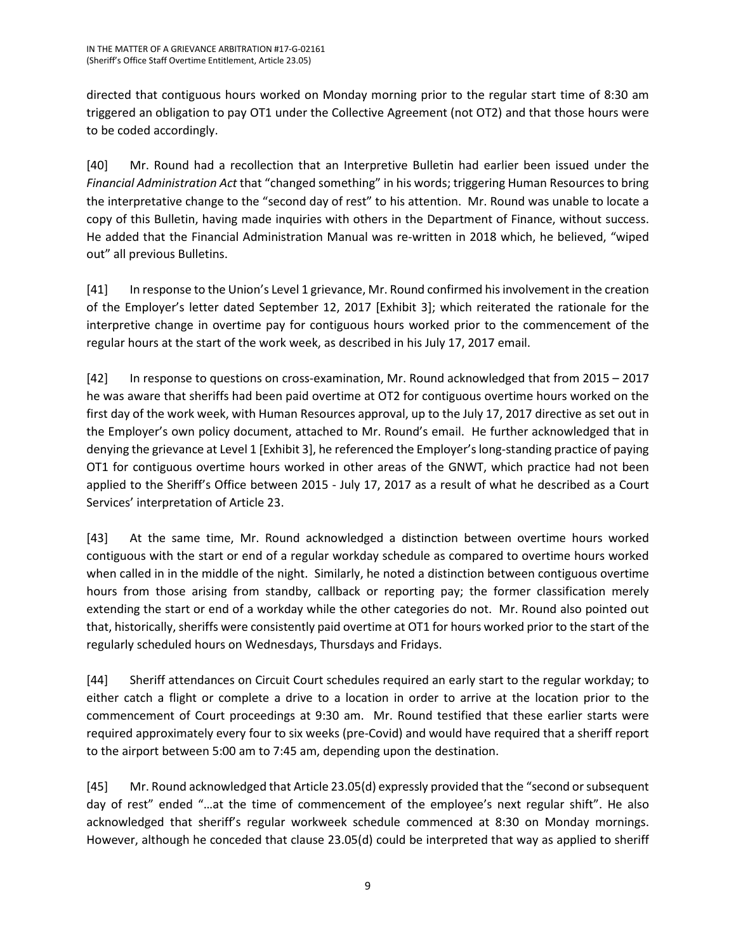directed that contiguous hours worked on Monday morning prior to the regular start time of 8:30 am triggered an obligation to pay OT1 under the Collective Agreement (not OT2) and that those hours were to be coded accordingly.

[40] Mr. Round had a recollection that an Interpretive Bulletin had earlier been issued under the *Financial Administration Act* that "changed something" in his words; triggering Human Resources to bring the interpretative change to the "second day of rest" to his attention. Mr. Round was unable to locate a copy of this Bulletin, having made inquiries with others in the Department of Finance, without success. He added that the Financial Administration Manual was re-written in 2018 which, he believed, "wiped out" all previous Bulletins.

[41] In response to the Union's Level 1 grievance, Mr. Round confirmed his involvement in the creation of the Employer's letter dated September 12, 2017 [Exhibit 3]; which reiterated the rationale for the interpretive change in overtime pay for contiguous hours worked prior to the commencement of the regular hours at the start of the work week, as described in his July 17, 2017 email.

[42] In response to questions on cross-examination, Mr. Round acknowledged that from 2015 – 2017 he was aware that sheriffs had been paid overtime at OT2 for contiguous overtime hours worked on the first day of the work week, with Human Resources approval, up to the July 17, 2017 directive as set out in the Employer's own policy document, attached to Mr. Round's email. He further acknowledged that in denying the grievance at Level 1 [Exhibit 3], he referenced the Employer's long-standing practice of paying OT1 for contiguous overtime hours worked in other areas of the GNWT, which practice had not been applied to the Sheriff's Office between 2015 - July 17, 2017 as a result of what he described as a Court Services' interpretation of Article 23.

[43] At the same time, Mr. Round acknowledged a distinction between overtime hours worked contiguous with the start or end of a regular workday schedule as compared to overtime hours worked when called in in the middle of the night. Similarly, he noted a distinction between contiguous overtime hours from those arising from standby, callback or reporting pay; the former classification merely extending the start or end of a workday while the other categories do not. Mr. Round also pointed out that, historically, sheriffs were consistently paid overtime at OT1 for hours worked prior to the start of the regularly scheduled hours on Wednesdays, Thursdays and Fridays.

[44] Sheriff attendances on Circuit Court schedules required an early start to the regular workday; to either catch a flight or complete a drive to a location in order to arrive at the location prior to the commencement of Court proceedings at 9:30 am. Mr. Round testified that these earlier starts were required approximately every four to six weeks (pre-Covid) and would have required that a sheriff report to the airport between 5:00 am to 7:45 am, depending upon the destination.

[45] Mr. Round acknowledged that Article 23.05(d) expressly provided that the "second or subsequent day of rest" ended "…at the time of commencement of the employee's next regular shift". He also acknowledged that sheriff's regular workweek schedule commenced at 8:30 on Monday mornings. However, although he conceded that clause 23.05(d) could be interpreted that way as applied to sheriff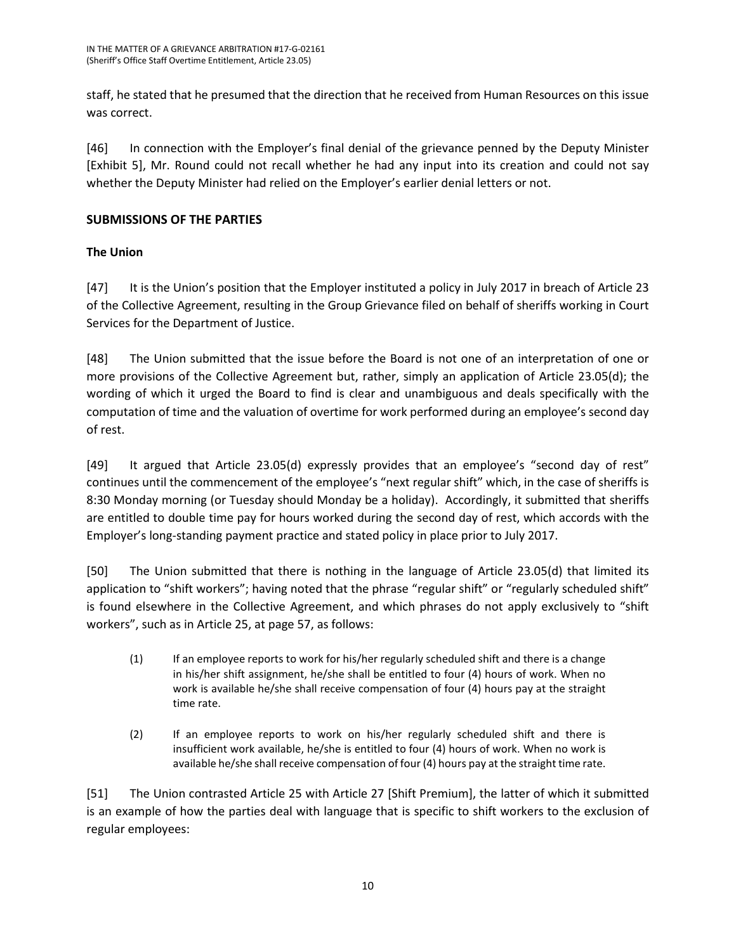staff, he stated that he presumed that the direction that he received from Human Resources on this issue was correct.

[46] In connection with the Employer's final denial of the grievance penned by the Deputy Minister [Exhibit 5], Mr. Round could not recall whether he had any input into its creation and could not say whether the Deputy Minister had relied on the Employer's earlier denial letters or not.

### **SUBMISSIONS OF THE PARTIES**

## **The Union**

[47] It is the Union's position that the Employer instituted a policy in July 2017 in breach of Article 23 of the Collective Agreement, resulting in the Group Grievance filed on behalf of sheriffs working in Court Services for the Department of Justice.

[48] The Union submitted that the issue before the Board is not one of an interpretation of one or more provisions of the Collective Agreement but, rather, simply an application of Article 23.05(d); the wording of which it urged the Board to find is clear and unambiguous and deals specifically with the computation of time and the valuation of overtime for work performed during an employee's second day of rest.

[49] It argued that Article 23.05(d) expressly provides that an employee's "second day of rest" continues until the commencement of the employee's "next regular shift" which, in the case of sheriffs is 8:30 Monday morning (or Tuesday should Monday be a holiday). Accordingly, it submitted that sheriffs are entitled to double time pay for hours worked during the second day of rest, which accords with the Employer's long-standing payment practice and stated policy in place prior to July 2017.

[50] The Union submitted that there is nothing in the language of Article 23.05(d) that limited its application to "shift workers"; having noted that the phrase "regular shift" or "regularly scheduled shift" is found elsewhere in the Collective Agreement, and which phrases do not apply exclusively to "shift workers", such as in Article 25, at page 57, as follows:

- (1) If an employee reports to work for his/her regularly scheduled shift and there is a change in his/her shift assignment, he/she shall be entitled to four (4) hours of work. When no work is available he/she shall receive compensation of four (4) hours pay at the straight time rate.
- (2) If an employee reports to work on his/her regularly scheduled shift and there is insufficient work available, he/she is entitled to four (4) hours of work. When no work is available he/she shall receive compensation of four (4) hours pay at the straight time rate.

[51] The Union contrasted Article 25 with Article 27 [Shift Premium], the latter of which it submitted is an example of how the parties deal with language that is specific to shift workers to the exclusion of regular employees: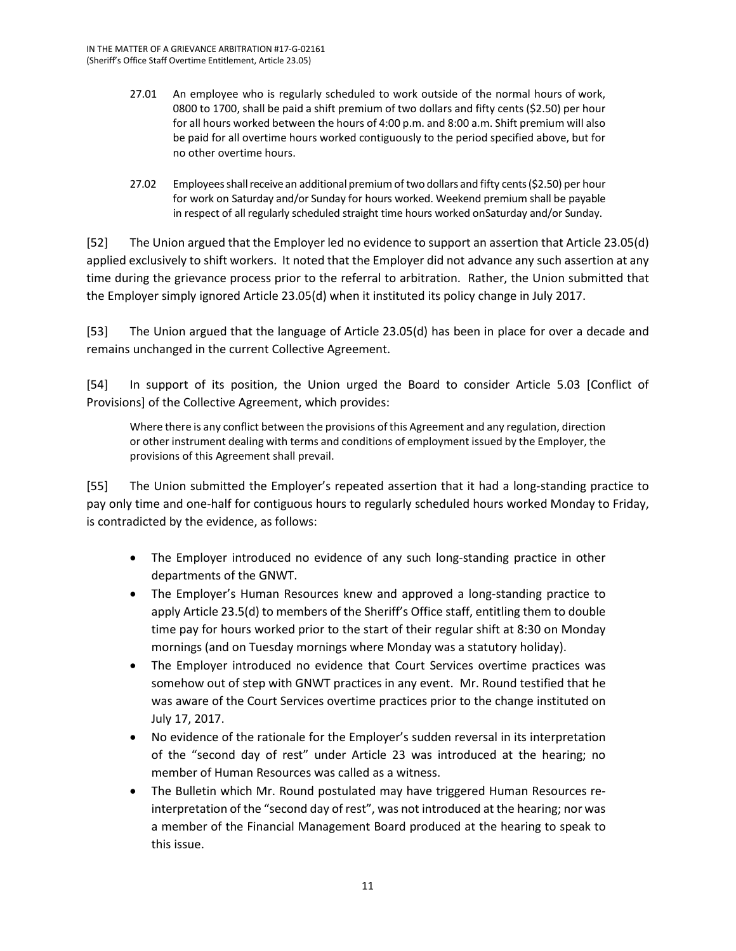- 27.01 An employee who is regularly scheduled to work outside of the normal hours of work, 0800 to 1700, shall be paid a shift premium of two dollars and fifty cents (\$2.50) per hour for all hours worked between the hours of 4:00 p.m. and 8:00 a.m. Shift premium will also be paid for all overtime hours worked contiguously to the period specified above, but for no other overtime hours.
- 27.02 Employees shall receive an additional premium of two dollars and fifty cents (\$2.50) per hour for work on Saturday and/or Sunday for hours worked. Weekend premium shall be payable in respect of all regularly scheduled straight time hours worked onSaturday and/or Sunday.

[52] The Union argued that the Employer led no evidence to support an assertion that Article 23.05(d) applied exclusively to shift workers. It noted that the Employer did not advance any such assertion at any time during the grievance process prior to the referral to arbitration. Rather, the Union submitted that the Employer simply ignored Article 23.05(d) when it instituted its policy change in July 2017.

[53] The Union argued that the language of Article 23.05(d) has been in place for over a decade and remains unchanged in the current Collective Agreement.

[54] In support of its position, the Union urged the Board to consider Article 5.03 [Conflict of Provisions] of the Collective Agreement, which provides:

Where there is any conflict between the provisions of this Agreement and any regulation, direction or other instrument dealing with terms and conditions of employment issued by the Employer, the provisions of this Agreement shall prevail.

[55] The Union submitted the Employer's repeated assertion that it had a long-standing practice to pay only time and one-half for contiguous hours to regularly scheduled hours worked Monday to Friday, is contradicted by the evidence, as follows:

- The Employer introduced no evidence of any such long-standing practice in other departments of the GNWT.
- The Employer's Human Resources knew and approved a long-standing practice to apply Article 23.5(d) to members of the Sheriff's Office staff, entitling them to double time pay for hours worked prior to the start of their regular shift at 8:30 on Monday mornings (and on Tuesday mornings where Monday was a statutory holiday).
- The Employer introduced no evidence that Court Services overtime practices was somehow out of step with GNWT practices in any event. Mr. Round testified that he was aware of the Court Services overtime practices prior to the change instituted on July 17, 2017.
- No evidence of the rationale for the Employer's sudden reversal in its interpretation of the "second day of rest" under Article 23 was introduced at the hearing; no member of Human Resources was called as a witness.
- The Bulletin which Mr. Round postulated may have triggered Human Resources reinterpretation of the "second day of rest", was not introduced at the hearing; nor was a member of the Financial Management Board produced at the hearing to speak to this issue.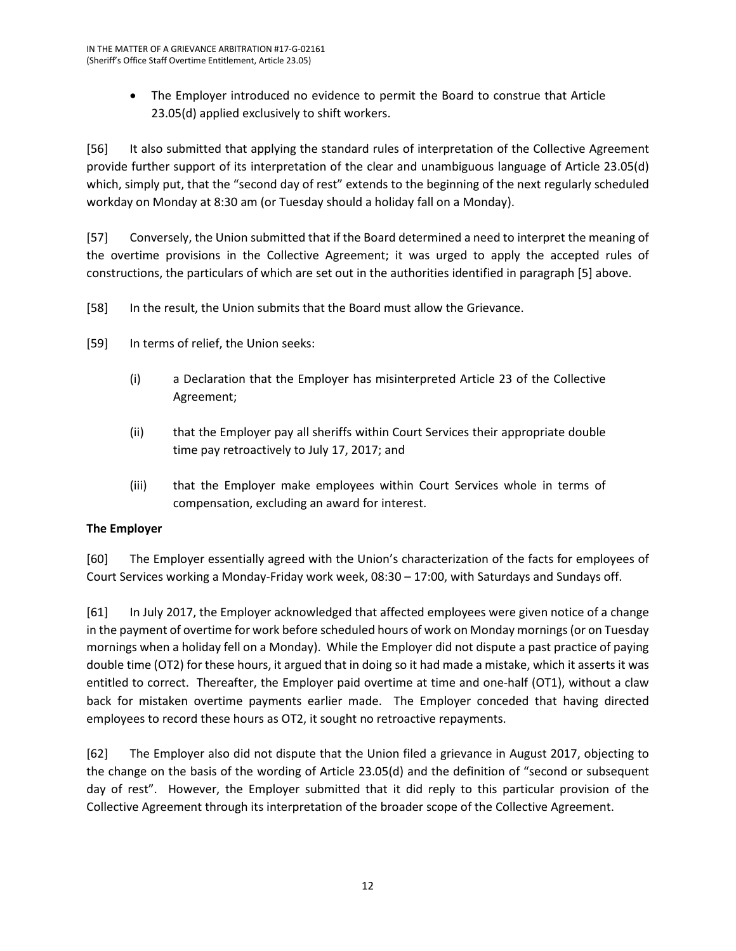• The Employer introduced no evidence to permit the Board to construe that Article 23.05(d) applied exclusively to shift workers.

[56] It also submitted that applying the standard rules of interpretation of the Collective Agreement provide further support of its interpretation of the clear and unambiguous language of Article 23.05(d) which, simply put, that the "second day of rest" extends to the beginning of the next regularly scheduled workday on Monday at 8:30 am (or Tuesday should a holiday fall on a Monday).

[57] Conversely, the Union submitted that if the Board determined a need to interpret the meaning of the overtime provisions in the Collective Agreement; it was urged to apply the accepted rules of constructions, the particulars of which are set out in the authorities identified in paragraph [5] above.

- [58] In the result, the Union submits that the Board must allow the Grievance.
- [59] In terms of relief, the Union seeks:
	- (i) a Declaration that the Employer has misinterpreted Article 23 of the Collective Agreement;
	- (ii) that the Employer pay all sheriffs within Court Services their appropriate double time pay retroactively to July 17, 2017; and
	- (iii) that the Employer make employees within Court Services whole in terms of compensation, excluding an award for interest.

# **The Employer**

[60] The Employer essentially agreed with the Union's characterization of the facts for employees of Court Services working a Monday-Friday work week, 08:30 – 17:00, with Saturdays and Sundays off.

[61] In July 2017, the Employer acknowledged that affected employees were given notice of a change in the payment of overtime for work before scheduled hours of work on Monday mornings (or on Tuesday mornings when a holiday fell on a Monday). While the Employer did not dispute a past practice of paying double time (OT2) for these hours, it argued that in doing so it had made a mistake, which it asserts it was entitled to correct. Thereafter, the Employer paid overtime at time and one-half (OT1), without a claw back for mistaken overtime payments earlier made. The Employer conceded that having directed employees to record these hours as OT2, it sought no retroactive repayments.

[62] The Employer also did not dispute that the Union filed a grievance in August 2017, objecting to the change on the basis of the wording of Article 23.05(d) and the definition of "second or subsequent day of rest". However, the Employer submitted that it did reply to this particular provision of the Collective Agreement through its interpretation of the broader scope of the Collective Agreement.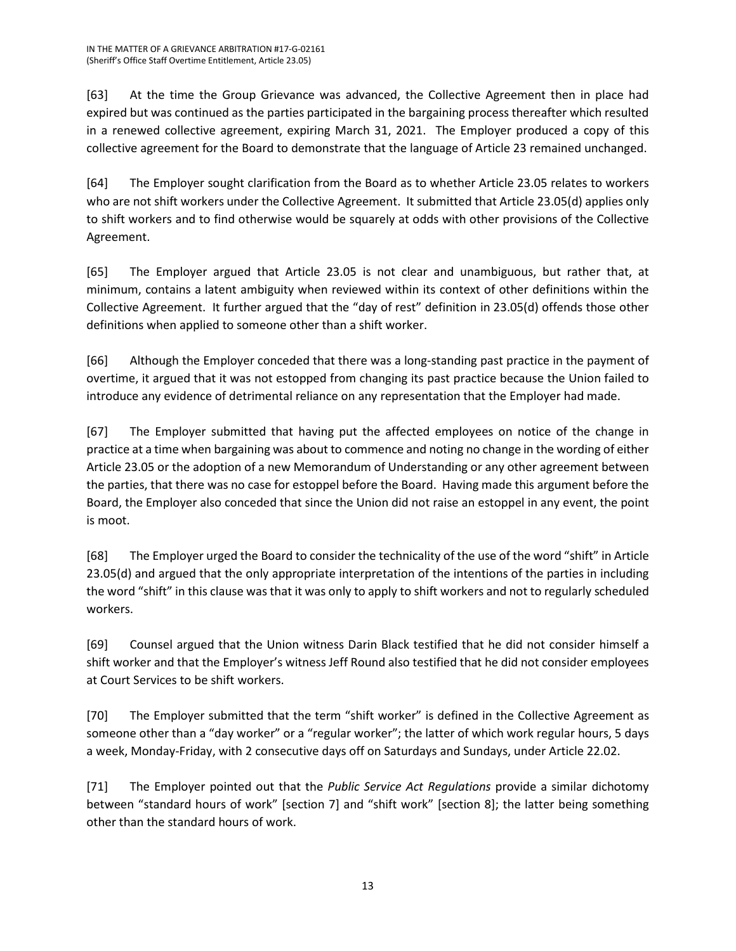[63] At the time the Group Grievance was advanced, the Collective Agreement then in place had expired but was continued as the parties participated in the bargaining process thereafter which resulted in a renewed collective agreement, expiring March 31, 2021. The Employer produced a copy of this collective agreement for the Board to demonstrate that the language of Article 23 remained unchanged.

[64] The Employer sought clarification from the Board as to whether Article 23.05 relates to workers who are not shift workers under the Collective Agreement. It submitted that Article 23.05(d) applies only to shift workers and to find otherwise would be squarely at odds with other provisions of the Collective Agreement.

[65] The Employer argued that Article 23.05 is not clear and unambiguous, but rather that, at minimum, contains a latent ambiguity when reviewed within its context of other definitions within the Collective Agreement. It further argued that the "day of rest" definition in 23.05(d) offends those other definitions when applied to someone other than a shift worker.

[66] Although the Employer conceded that there was a long-standing past practice in the payment of overtime, it argued that it was not estopped from changing its past practice because the Union failed to introduce any evidence of detrimental reliance on any representation that the Employer had made.

[67] The Employer submitted that having put the affected employees on notice of the change in practice at a time when bargaining was about to commence and noting no change in the wording of either Article 23.05 or the adoption of a new Memorandum of Understanding or any other agreement between the parties, that there was no case for estoppel before the Board. Having made this argument before the Board, the Employer also conceded that since the Union did not raise an estoppel in any event, the point is moot.

[68] The Employer urged the Board to consider the technicality of the use of the word "shift" in Article 23.05(d) and argued that the only appropriate interpretation of the intentions of the parties in including the word "shift" in this clause was that it was only to apply to shift workers and not to regularly scheduled workers.

[69] Counsel argued that the Union witness Darin Black testified that he did not consider himself a shift worker and that the Employer's witness Jeff Round also testified that he did not consider employees at Court Services to be shift workers.

[70] The Employer submitted that the term "shift worker" is defined in the Collective Agreement as someone other than a "day worker" or a "regular worker"; the latter of which work regular hours, 5 days a week, Monday-Friday, with 2 consecutive days off on Saturdays and Sundays, under Article 22.02.

[71] The Employer pointed out that the *Public Service Act Regulations* provide a similar dichotomy between "standard hours of work" [section 7] and "shift work" [section 8]; the latter being something other than the standard hours of work.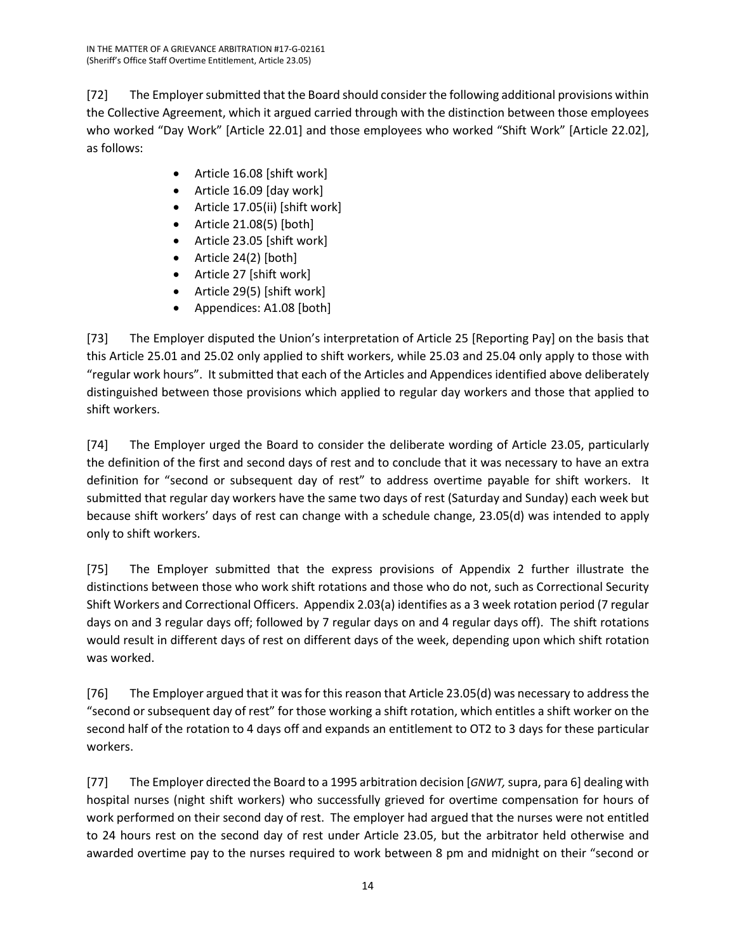[72] The Employer submitted that the Board should consider the following additional provisions within the Collective Agreement, which it argued carried through with the distinction between those employees who worked "Day Work" [Article 22.01] and those employees who worked "Shift Work" [Article 22.02], as follows:

- Article 16.08 [shift work]
- Article 16.09 [day work]
- Article 17.05(ii) [shift work]
- Article 21.08(5) [both]
- Article 23.05 [shift work]
- Article 24(2) [both]
- Article 27 [shift work]
- Article 29(5) [shift work]
- Appendices: A1.08 [both]

[73] The Employer disputed the Union's interpretation of Article 25 [Reporting Pay] on the basis that this Article 25.01 and 25.02 only applied to shift workers, while 25.03 and 25.04 only apply to those with "regular work hours". It submitted that each of the Articles and Appendices identified above deliberately distinguished between those provisions which applied to regular day workers and those that applied to shift workers.

[74] The Employer urged the Board to consider the deliberate wording of Article 23.05, particularly the definition of the first and second days of rest and to conclude that it was necessary to have an extra definition for "second or subsequent day of rest" to address overtime payable for shift workers. It submitted that regular day workers have the same two days of rest (Saturday and Sunday) each week but because shift workers' days of rest can change with a schedule change, 23.05(d) was intended to apply only to shift workers.

[75] The Employer submitted that the express provisions of Appendix 2 further illustrate the distinctions between those who work shift rotations and those who do not, such as Correctional Security Shift Workers and Correctional Officers. Appendix 2.03(a) identifies as a 3 week rotation period (7 regular days on and 3 regular days off; followed by 7 regular days on and 4 regular days off). The shift rotations would result in different days of rest on different days of the week, depending upon which shift rotation was worked.

[76] The Employer argued that it was for this reason that Article 23.05(d) was necessary to address the "second or subsequent day of rest" for those working a shift rotation, which entitles a shift worker on the second half of the rotation to 4 days off and expands an entitlement to OT2 to 3 days for these particular workers.

[77] The Employer directed the Board to a 1995 arbitration decision [*GNWT,* supra, para 6] dealing with hospital nurses (night shift workers) who successfully grieved for overtime compensation for hours of work performed on their second day of rest. The employer had argued that the nurses were not entitled to 24 hours rest on the second day of rest under Article 23.05, but the arbitrator held otherwise and awarded overtime pay to the nurses required to work between 8 pm and midnight on their "second or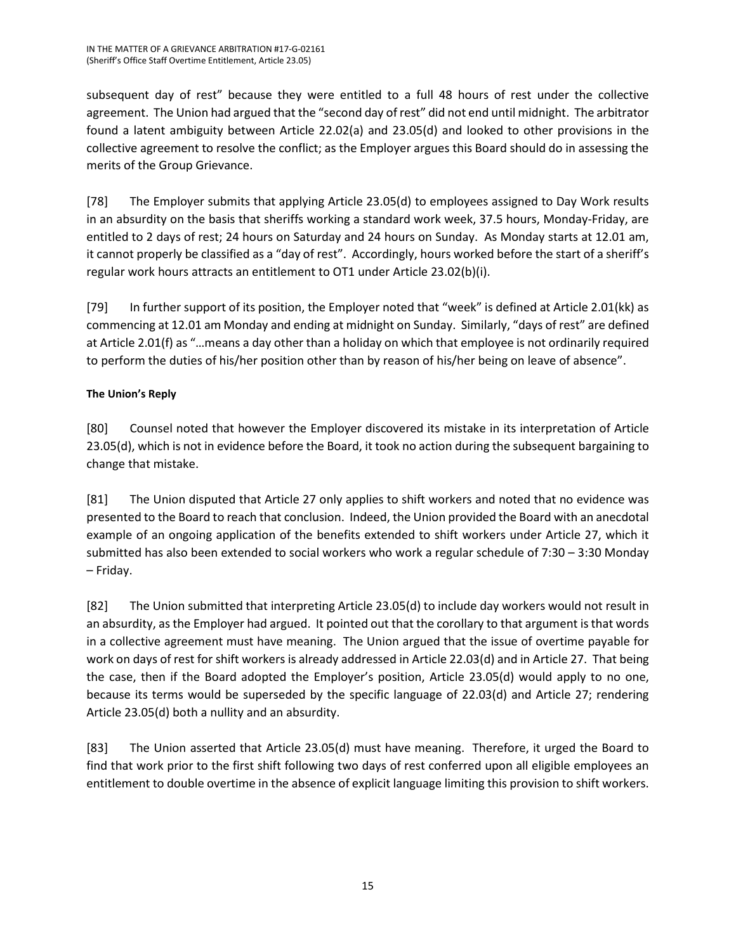subsequent day of rest" because they were entitled to a full 48 hours of rest under the collective agreement. The Union had argued that the "second day of rest" did not end until midnight. The arbitrator found a latent ambiguity between Article 22.02(a) and 23.05(d) and looked to other provisions in the collective agreement to resolve the conflict; as the Employer argues this Board should do in assessing the merits of the Group Grievance.

[78] The Employer submits that applying Article 23.05(d) to employees assigned to Day Work results in an absurdity on the basis that sheriffs working a standard work week, 37.5 hours, Monday-Friday, are entitled to 2 days of rest; 24 hours on Saturday and 24 hours on Sunday. As Monday starts at 12.01 am, it cannot properly be classified as a "day of rest". Accordingly, hours worked before the start of a sheriff's regular work hours attracts an entitlement to OT1 under Article 23.02(b)(i).

[79] In further support of its position, the Employer noted that "week" is defined at Article 2.01(kk) as commencing at 12.01 am Monday and ending at midnight on Sunday. Similarly, "days of rest" are defined at Article 2.01(f) as "…means a day other than a holiday on which that employee is not ordinarily required to perform the duties of his/her position other than by reason of his/her being on leave of absence".

# **The Union's Reply**

[80] Counsel noted that however the Employer discovered its mistake in its interpretation of Article 23.05(d), which is not in evidence before the Board, it took no action during the subsequent bargaining to change that mistake.

[81] The Union disputed that Article 27 only applies to shift workers and noted that no evidence was presented to the Board to reach that conclusion. Indeed, the Union provided the Board with an anecdotal example of an ongoing application of the benefits extended to shift workers under Article 27, which it submitted has also been extended to social workers who work a regular schedule of 7:30 – 3:30 Monday – Friday.

[82] The Union submitted that interpreting Article 23.05(d) to include day workers would not result in an absurdity, as the Employer had argued. It pointed out that the corollary to that argument is that words in a collective agreement must have meaning. The Union argued that the issue of overtime payable for work on days of rest for shift workers is already addressed in Article 22.03(d) and in Article 27. That being the case, then if the Board adopted the Employer's position, Article 23.05(d) would apply to no one, because its terms would be superseded by the specific language of 22.03(d) and Article 27; rendering Article 23.05(d) both a nullity and an absurdity.

[83] The Union asserted that Article 23.05(d) must have meaning. Therefore, it urged the Board to find that work prior to the first shift following two days of rest conferred upon all eligible employees an entitlement to double overtime in the absence of explicit language limiting this provision to shift workers.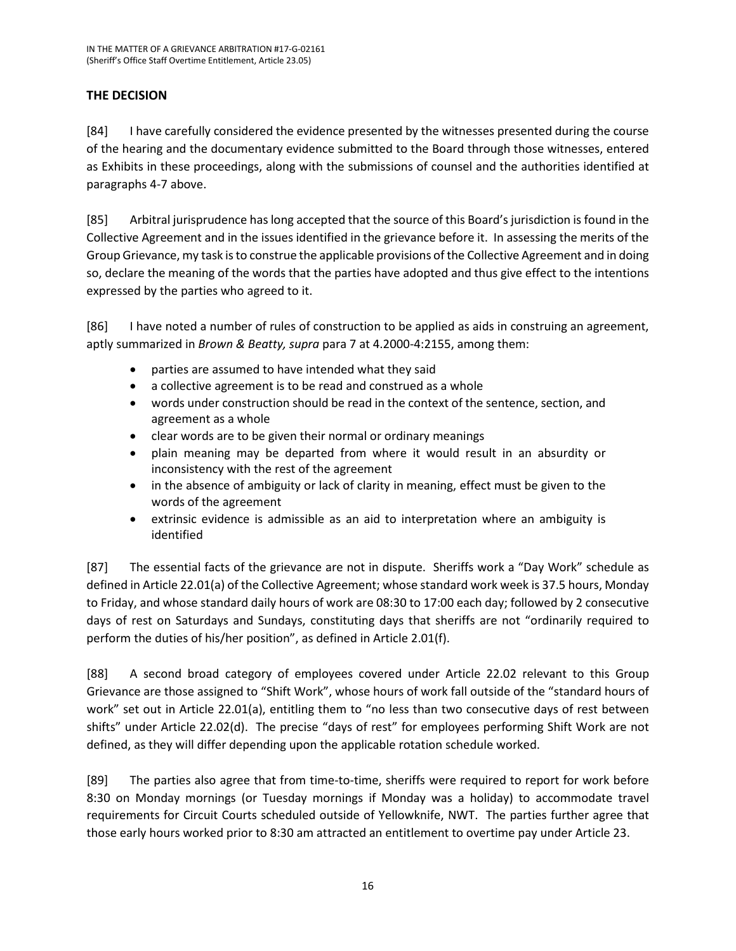# **THE DECISION**

[84] I have carefully considered the evidence presented by the witnesses presented during the course of the hearing and the documentary evidence submitted to the Board through those witnesses, entered as Exhibits in these proceedings, along with the submissions of counsel and the authorities identified at paragraphs 4-7 above.

[85] Arbitral jurisprudence has long accepted that the source of this Board's jurisdiction is found in the Collective Agreement and in the issues identified in the grievance before it. In assessing the merits of the Group Grievance, my task is to construe the applicable provisions of the Collective Agreement and in doing so, declare the meaning of the words that the parties have adopted and thus give effect to the intentions expressed by the parties who agreed to it.

[86] I have noted a number of rules of construction to be applied as aids in construing an agreement, aptly summarized in *Brown & Beatty, supra* para 7 at 4.2000-4:2155, among them:

- parties are assumed to have intended what they said
- a collective agreement is to be read and construed as a whole
- words under construction should be read in the context of the sentence, section, and agreement as a whole
- clear words are to be given their normal or ordinary meanings
- plain meaning may be departed from where it would result in an absurdity or inconsistency with the rest of the agreement
- in the absence of ambiguity or lack of clarity in meaning, effect must be given to the words of the agreement
- extrinsic evidence is admissible as an aid to interpretation where an ambiguity is identified

[87] The essential facts of the grievance are not in dispute. Sheriffs work a "Day Work" schedule as defined in Article 22.01(a) of the Collective Agreement; whose standard work week is 37.5 hours, Monday to Friday, and whose standard daily hours of work are 08:30 to 17:00 each day; followed by 2 consecutive days of rest on Saturdays and Sundays, constituting days that sheriffs are not "ordinarily required to perform the duties of his/her position", as defined in Article 2.01(f).

[88] A second broad category of employees covered under Article 22.02 relevant to this Group Grievance are those assigned to "Shift Work", whose hours of work fall outside of the "standard hours of work" set out in Article 22.01(a), entitling them to "no less than two consecutive days of rest between shifts" under Article 22.02(d). The precise "days of rest" for employees performing Shift Work are not defined, as they will differ depending upon the applicable rotation schedule worked.

[89] The parties also agree that from time-to-time, sheriffs were required to report for work before 8:30 on Monday mornings (or Tuesday mornings if Monday was a holiday) to accommodate travel requirements for Circuit Courts scheduled outside of Yellowknife, NWT. The parties further agree that those early hours worked prior to 8:30 am attracted an entitlement to overtime pay under Article 23.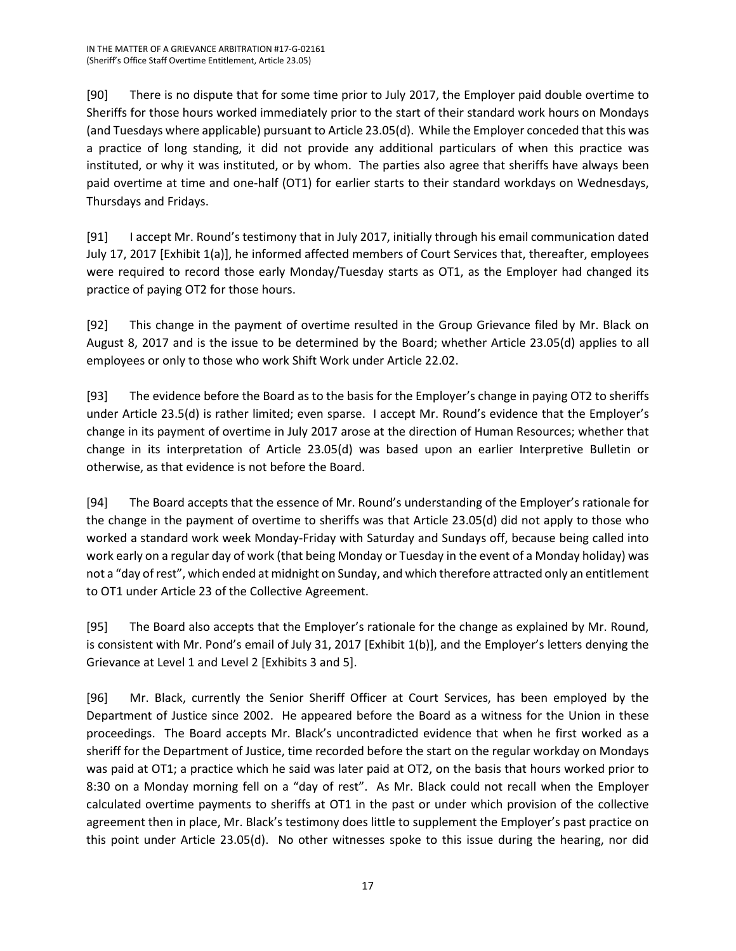[90] There is no dispute that for some time prior to July 2017, the Employer paid double overtime to Sheriffs for those hours worked immediately prior to the start of their standard work hours on Mondays (and Tuesdays where applicable) pursuant to Article 23.05(d). While the Employer conceded that this was a practice of long standing, it did not provide any additional particulars of when this practice was instituted, or why it was instituted, or by whom. The parties also agree that sheriffs have always been paid overtime at time and one-half (OT1) for earlier starts to their standard workdays on Wednesdays, Thursdays and Fridays.

[91] I accept Mr. Round's testimony that in July 2017, initially through his email communication dated July 17, 2017 [Exhibit 1(a)], he informed affected members of Court Services that, thereafter, employees were required to record those early Monday/Tuesday starts as OT1, as the Employer had changed its practice of paying OT2 for those hours.

[92] This change in the payment of overtime resulted in the Group Grievance filed by Mr. Black on August 8, 2017 and is the issue to be determined by the Board; whether Article 23.05(d) applies to all employees or only to those who work Shift Work under Article 22.02.

[93] The evidence before the Board as to the basis for the Employer's change in paying OT2 to sheriffs under Article 23.5(d) is rather limited; even sparse. I accept Mr. Round's evidence that the Employer's change in its payment of overtime in July 2017 arose at the direction of Human Resources; whether that change in its interpretation of Article 23.05(d) was based upon an earlier Interpretive Bulletin or otherwise, as that evidence is not before the Board.

[94] The Board accepts that the essence of Mr. Round's understanding of the Employer's rationale for the change in the payment of overtime to sheriffs was that Article 23.05(d) did not apply to those who worked a standard work week Monday-Friday with Saturday and Sundays off, because being called into work early on a regular day of work (that being Monday or Tuesday in the event of a Monday holiday) was not a "day of rest", which ended at midnight on Sunday, and which therefore attracted only an entitlement to OT1 under Article 23 of the Collective Agreement.

[95] The Board also accepts that the Employer's rationale for the change as explained by Mr. Round, is consistent with Mr. Pond's email of July 31, 2017 [Exhibit 1(b)], and the Employer's letters denying the Grievance at Level 1 and Level 2 [Exhibits 3 and 5].

[96] Mr. Black, currently the Senior Sheriff Officer at Court Services, has been employed by the Department of Justice since 2002. He appeared before the Board as a witness for the Union in these proceedings. The Board accepts Mr. Black's uncontradicted evidence that when he first worked as a sheriff for the Department of Justice, time recorded before the start on the regular workday on Mondays was paid at OT1; a practice which he said was later paid at OT2, on the basis that hours worked prior to 8:30 on a Monday morning fell on a "day of rest". As Mr. Black could not recall when the Employer calculated overtime payments to sheriffs at OT1 in the past or under which provision of the collective agreement then in place, Mr. Black's testimony does little to supplement the Employer's past practice on this point under Article 23.05(d). No other witnesses spoke to this issue during the hearing, nor did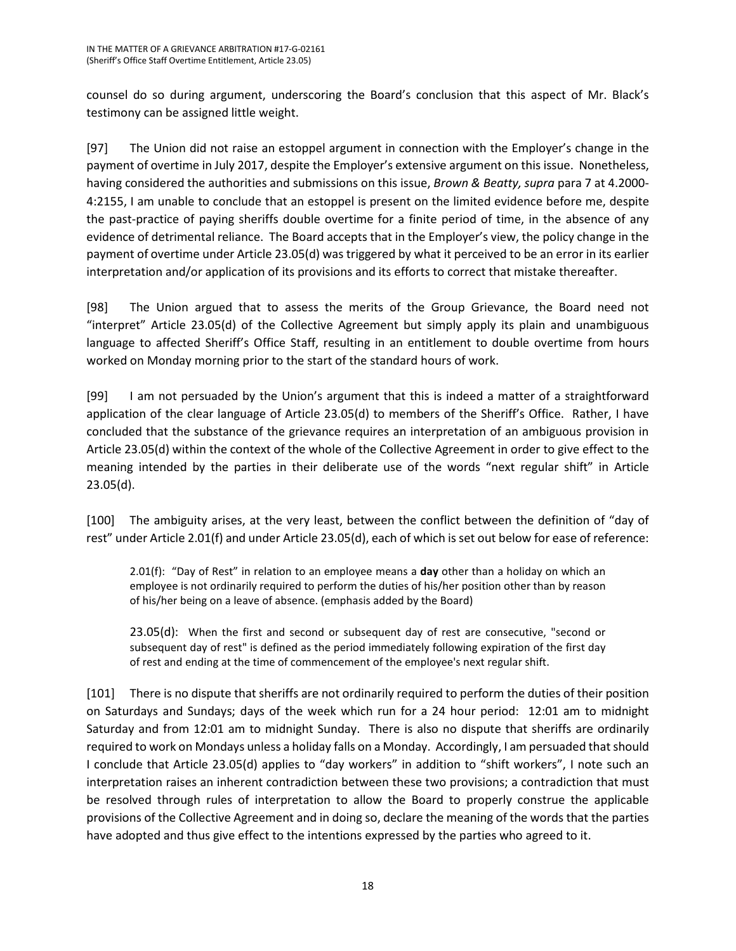counsel do so during argument, underscoring the Board's conclusion that this aspect of Mr. Black's testimony can be assigned little weight.

[97] The Union did not raise an estoppel argument in connection with the Employer's change in the payment of overtime in July 2017, despite the Employer's extensive argument on this issue. Nonetheless, having considered the authorities and submissions on this issue, *Brown & Beatty, supra* para 7 at 4.2000- 4:2155, I am unable to conclude that an estoppel is present on the limited evidence before me, despite the past-practice of paying sheriffs double overtime for a finite period of time, in the absence of any evidence of detrimental reliance. The Board accepts that in the Employer's view, the policy change in the payment of overtime under Article 23.05(d) was triggered by what it perceived to be an error in its earlier interpretation and/or application of its provisions and its efforts to correct that mistake thereafter.

[98] The Union argued that to assess the merits of the Group Grievance, the Board need not "interpret" Article 23.05(d) of the Collective Agreement but simply apply its plain and unambiguous language to affected Sheriff's Office Staff, resulting in an entitlement to double overtime from hours worked on Monday morning prior to the start of the standard hours of work.

[99] I am not persuaded by the Union's argument that this is indeed a matter of a straightforward application of the clear language of Article 23.05(d) to members of the Sheriff's Office. Rather, I have concluded that the substance of the grievance requires an interpretation of an ambiguous provision in Article 23.05(d) within the context of the whole of the Collective Agreement in order to give effect to the meaning intended by the parties in their deliberate use of the words "next regular shift" in Article 23.05(d).

[100] The ambiguity arises, at the very least, between the conflict between the definition of "day of rest" under Article 2.01(f) and under Article 23.05(d), each of which is set out below for ease of reference:

2.01(f): "Day of Rest" in relation to an employee means a **day** other than a holiday on which an employee is not ordinarily required to perform the duties of his/her position other than by reason of his/her being on a leave of absence. (emphasis added by the Board)

23.05(d): When the first and second or subsequent day of rest are consecutive, "second or subsequent day of rest" is defined as the period immediately following expiration of the first day of rest and ending at the time of commencement of the employee's next regular shift.

[101] There is no dispute that sheriffs are not ordinarily required to perform the duties of their position on Saturdays and Sundays; days of the week which run for a 24 hour period: 12:01 am to midnight Saturday and from 12:01 am to midnight Sunday. There is also no dispute that sheriffs are ordinarily required to work on Mondays unless a holiday falls on a Monday. Accordingly, I am persuaded that should I conclude that Article 23.05(d) applies to "day workers" in addition to "shift workers", I note such an interpretation raises an inherent contradiction between these two provisions; a contradiction that must be resolved through rules of interpretation to allow the Board to properly construe the applicable provisions of the Collective Agreement and in doing so, declare the meaning of the words that the parties have adopted and thus give effect to the intentions expressed by the parties who agreed to it.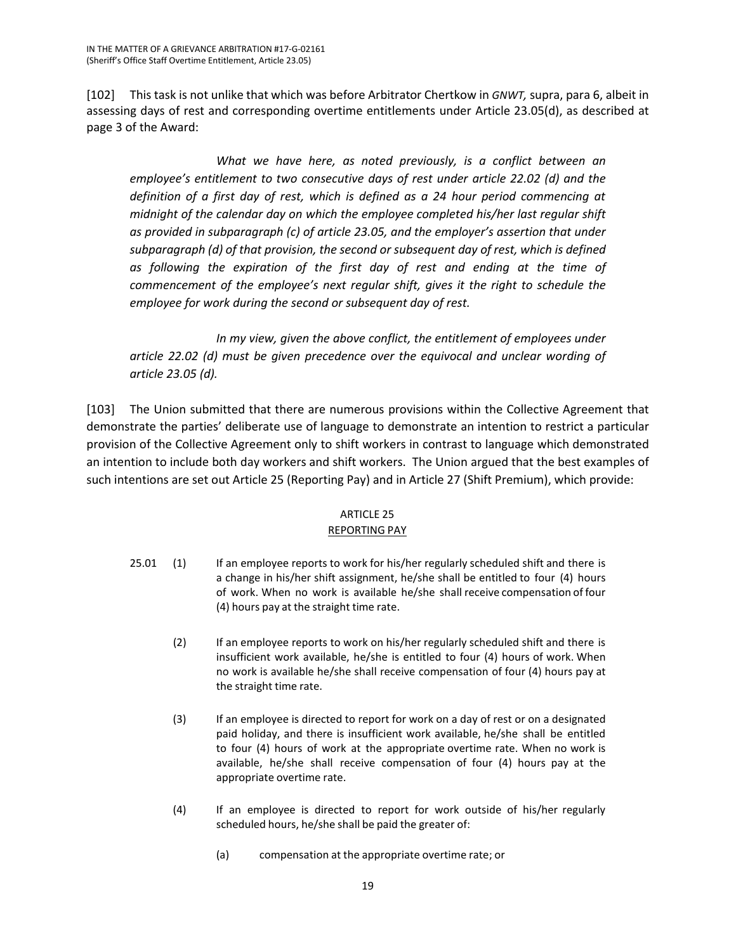[102] This task is not unlike that which was before Arbitrator Chertkow in *GNWT,* supra, para 6, albeit in assessing days of rest and corresponding overtime entitlements under Article 23.05(d), as described at page 3 of the Award:

*What we have here, as noted previously, is a conflict between an employee's entitlement to two consecutive days of rest under article 22.02 (d) and the definition of a first day of rest, which is defined as a 24 hour period commencing at midnight of the calendar day on which the employee completed his/her last regular shift as provided in subparagraph (c) of article 23.05, and the employer's assertion that under subparagraph (d) of that provision, the second or subsequent day of rest, which is defined as following the expiration of the first day of rest and ending at the time of commencement of the employee's next regular shift, gives it the right to schedule the employee for work during the second or subsequent day of rest.*

*In my view, given the above conflict, the entitlement of employees under article 22.02 (d) must be given precedence over the equivocal and unclear wording of article 23.05 (d).*

[103] The Union submitted that there are numerous provisions within the Collective Agreement that demonstrate the parties' deliberate use of language to demonstrate an intention to restrict a particular provision of the Collective Agreement only to shift workers in contrast to language which demonstrated an intention to include both day workers and shift workers. The Union argued that the best examples of such intentions are set out Article 25 (Reporting Pay) and in Article 27 (Shift Premium), which provide:

### ARTICLE 25 REPORTING PAY

- 25.01 (1) If an employee reports to work for his/her regularly scheduled shift and there is a change in his/her shift assignment, he/she shall be entitled to four (4) hours of work. When no work is available he/she shall receive compensation of four (4) hours pay at the straight time rate.
	- (2) If an employee reports to work on his/her regularly scheduled shift and there is insufficient work available, he/she is entitled to four (4) hours of work. When no work is available he/she shall receive compensation of four (4) hours pay at the straight time rate.
	- (3) If an employee is directed to report for work on a day of rest or on a designated paid holiday, and there is insufficient work available, he/she shall be entitled to four (4) hours of work at the appropriate overtime rate. When no work is available, he/she shall receive compensation of four (4) hours pay at the appropriate overtime rate.
	- (4) If an employee is directed to report for work outside of his/her regularly scheduled hours, he/she shall be paid the greater of:
		- (a) compensation at the appropriate overtime rate; or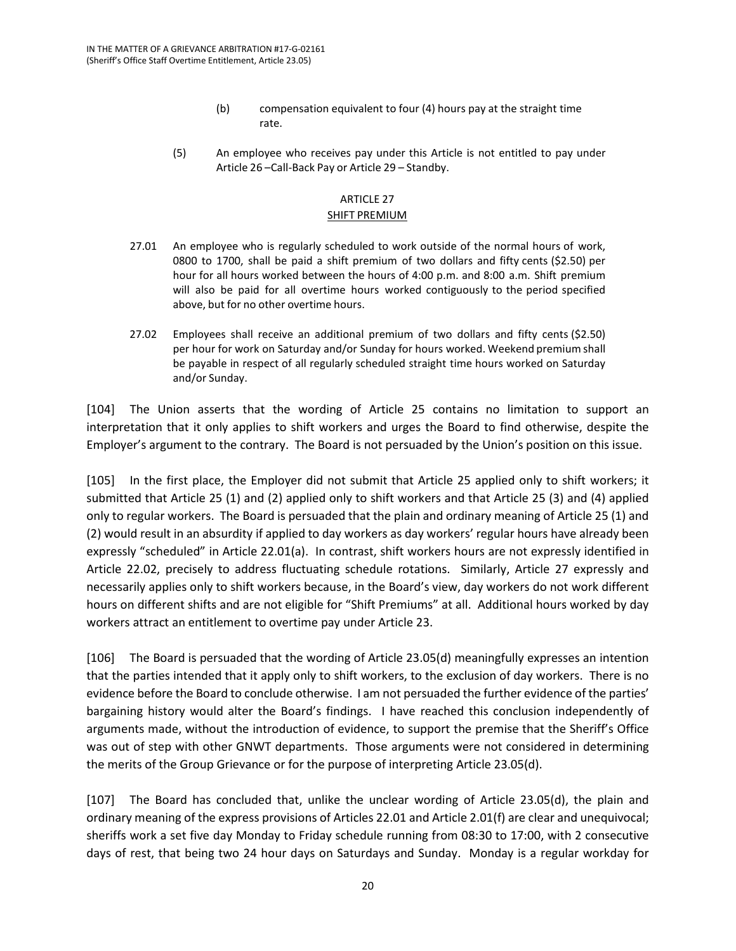- (b) compensation equivalent to four (4) hours pay at the straight time rate.
- (5) An employee who receives pay under this Article is not entitled to pay under Article 26 –Call-Back Pay or Article 29 – Standby.

### ARTICLE 27

### SHIFT PREMIUM

- 27.01 An employee who is regularly scheduled to work outside of the normal hours of work, 0800 to 1700, shall be paid a shift premium of two dollars and fifty cents (\$2.50) per hour for all hours worked between the hours of 4:00 p.m. and 8:00 a.m. Shift premium will also be paid for all overtime hours worked contiguously to the period specified above, but for no other overtime hours.
- 27.02 Employees shall receive an additional premium of two dollars and fifty cents (\$2.50) per hour for work on Saturday and/or Sunday for hours worked. Weekend premium shall be payable in respect of all regularly scheduled straight time hours worked on Saturday and/or Sunday.

[104] The Union asserts that the wording of Article 25 contains no limitation to support an interpretation that it only applies to shift workers and urges the Board to find otherwise, despite the Employer's argument to the contrary. The Board is not persuaded by the Union's position on this issue.

[105] In the first place, the Employer did not submit that Article 25 applied only to shift workers; it submitted that Article 25 (1) and (2) applied only to shift workers and that Article 25 (3) and (4) applied only to regular workers. The Board is persuaded that the plain and ordinary meaning of Article 25 (1) and (2) would result in an absurdity if applied to day workers as day workers' regular hours have already been expressly "scheduled" in Article 22.01(a). In contrast, shift workers hours are not expressly identified in Article 22.02, precisely to address fluctuating schedule rotations. Similarly, Article 27 expressly and necessarily applies only to shift workers because, in the Board's view, day workers do not work different hours on different shifts and are not eligible for "Shift Premiums" at all. Additional hours worked by day workers attract an entitlement to overtime pay under Article 23.

[106] The Board is persuaded that the wording of Article 23.05(d) meaningfully expresses an intention that the parties intended that it apply only to shift workers, to the exclusion of day workers. There is no evidence before the Board to conclude otherwise. I am not persuaded the further evidence of the parties' bargaining history would alter the Board's findings. I have reached this conclusion independently of arguments made, without the introduction of evidence, to support the premise that the Sheriff's Office was out of step with other GNWT departments. Those arguments were not considered in determining the merits of the Group Grievance or for the purpose of interpreting Article 23.05(d).

[107] The Board has concluded that, unlike the unclear wording of Article 23.05(d), the plain and ordinary meaning of the express provisions of Articles 22.01 and Article 2.01(f) are clear and unequivocal; sheriffs work a set five day Monday to Friday schedule running from 08:30 to 17:00, with 2 consecutive days of rest, that being two 24 hour days on Saturdays and Sunday. Monday is a regular workday for